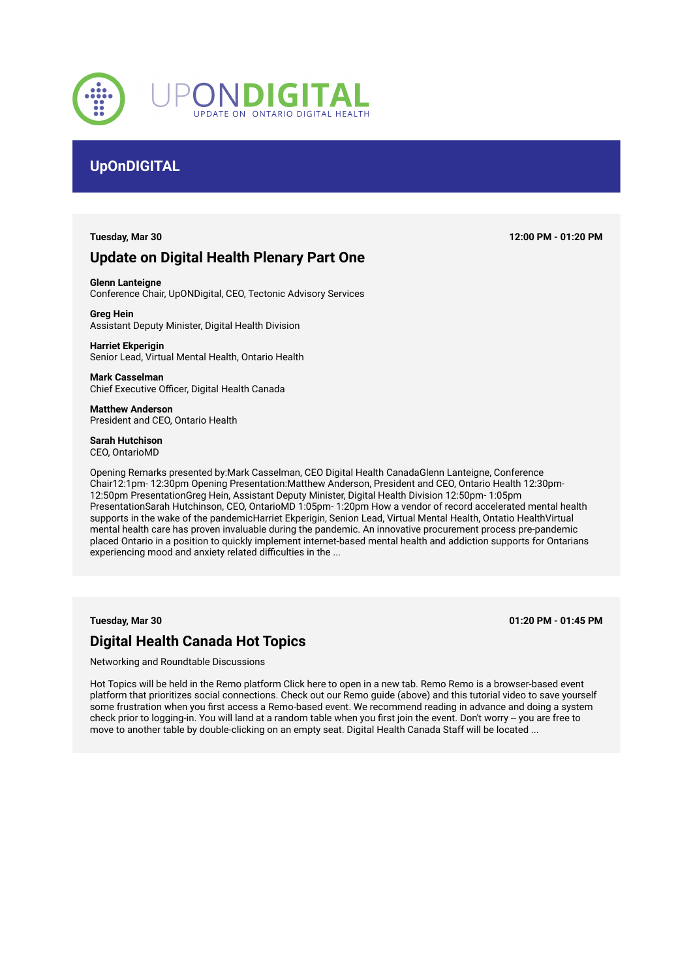

# **UpOnDIGITAL**

# **Update on Digital Health Plenary Part One**

**Tuesday, Mar 30 12:00 PM - 01:20 PM**

**Glenn Lanteigne**  Conference Chair, UpONDigital, CEO, Tectonic Advisory Services

**Greg Hein**  Assistant Deputy Minister, Digital Health Division

**Harriet Ekperigin**  Senior Lead, Virtual Mental Health, Ontario Health

**Mark Casselman**  Chief Executive Officer, Digital Health Canada

**Matthew Anderson**  President and CEO, Ontario Health

**Sarah Hutchison** 

CEO, OntarioMD

Opening Remarks presented by:Mark Casselman, CEO Digital Health CanadaGlenn Lanteigne, Conference Chair12:1pm- 12:30pm Opening Presentation:Matthew Anderson, President and CEO, Ontario Health 12:30pm-12:50pm PresentationGreg Hein, Assistant Deputy Minister, Digital Health Division 12:50pm- 1:05pm PresentationSarah Hutchinson, CEO, OntarioMD 1:05pm- 1:20pm How a vendor of record accelerated mental health supports in the wake of the pandemicHarriet Ekperigin, Senion Lead, Virtual Mental Health, Ontatio HealthVirtual mental health care has proven invaluable during the pandemic. An innovative procurement process pre-pandemic placed Ontario in a position to quickly implement internet-based mental health and addiction supports for Ontarians experiencing mood and anxiety related difficulties in the ...

**Tuesday, Mar 30 01:20 PM - 01:45 PM**

# **Digital Health Canada Hot Topics**

Networking and Roundtable Discussions

Hot Topics will be held in the Remo platform Click here to open in a new tab. Remo Remo is a browser-based event platform that prioritizes social connections. Check out our Remo guide (above) and this tutorial video to save yourself some frustration when you first access a Remo-based event. We recommend reading in advance and doing a system check prior to logging-in. You will land at a random table when you first join the event. Don't worry -- you are free to move to another table by double-clicking on an empty seat. Digital Health Canada Staff will be located ...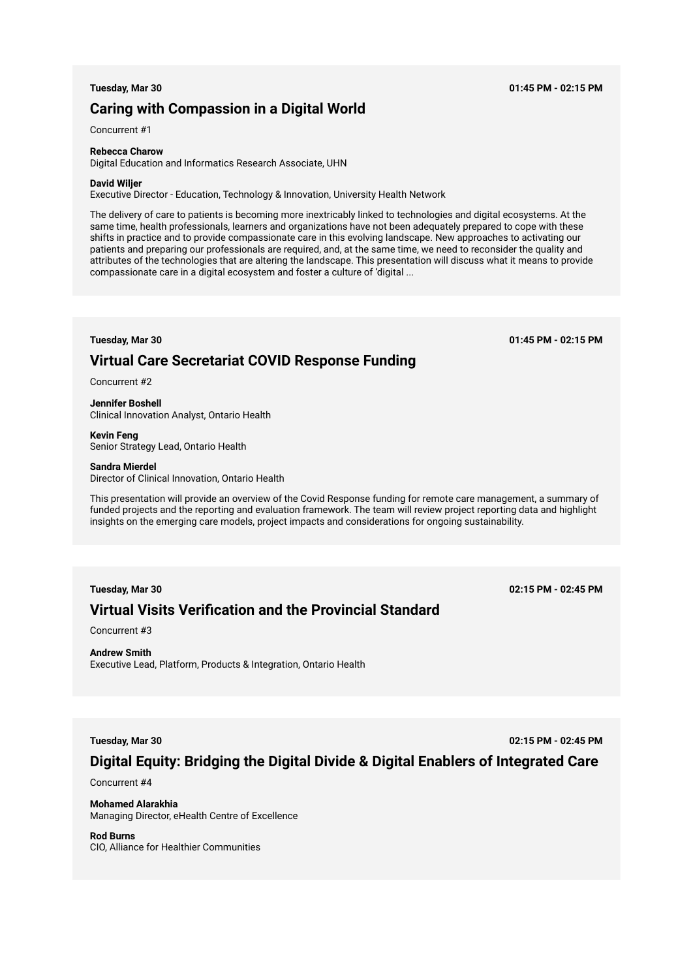# **Caring with Compassion in a Digital World**

Concurrent #1

### **Rebecca Charow**

Digital Education and Informatics Research Associate, UHN

#### **David Wiljer**

Executive Director - Education, Technology & Innovation, University Health Network

The delivery of care to patients is becoming more inextricably linked to technologies and digital ecosystems. At the same time, health professionals, learners and organizations have not been adequately prepared to cope with these shifts in practice and to provide compassionate care in this evolving landscape. New approaches to activating our patients and preparing our professionals are required, and, at the same time, we need to reconsider the quality and attributes of the technologies that are altering the landscape. This presentation will discuss what it means to provide compassionate care in a digital ecosystem and foster a culture of 'digital ...

**Tuesday, Mar 30 01:45 PM - 02:15 PM**

# **Virtual Care Secretariat COVID Response Funding**

Concurrent #2

**Jennifer Boshell**  Clinical Innovation Analyst, Ontario Health

**Kevin Feng**  Senior Strategy Lead, Ontario Health

### **Sandra Mierdel**

Director of Clinical Innovation, Ontario Health

This presentation will provide an overview of the Covid Response funding for remote care management, a summary of funded projects and the reporting and evaluation framework. The team will review project reporting data and highlight insights on the emerging care models, project impacts and considerations for ongoing sustainability.

# **Virtual Visits Verification and the Provincial Standard**

**Tuesday, Mar 30 02:15 PM - 02:45 PM**

Concurrent #3

# **Andrew Smith**

Executive Lead, Platform, Products & Integration, Ontario Health

**Tuesday, Mar 30 02:15 PM - 02:45 PM**

# **Digital Equity: Bridging the Digital Divide & Digital Enablers of Integrated Care**

Concurrent #4

**Mohamed Alarakhia**  Managing Director, eHealth Centre of Excellence

# **Rod Burns**

CIO, Alliance for Healthier Communities

### **Tuesday, Mar 30 01:45 PM - 02:15 PM**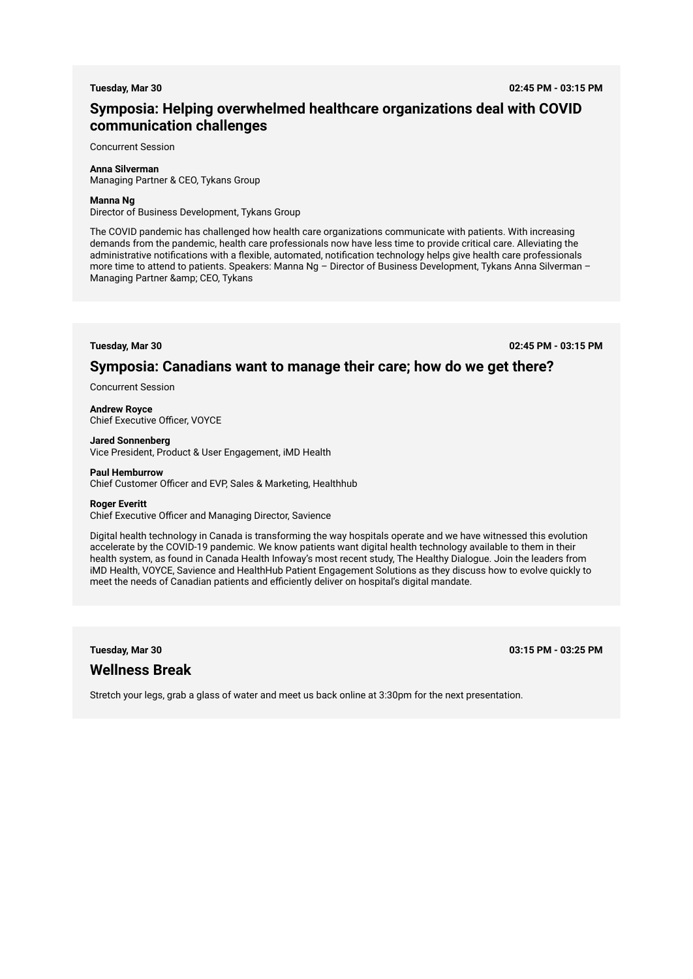**Tuesday, Mar 30 02:45 PM - 03:15 PM**

# **Symposia: Helping overwhelmed healthcare organizations deal with COVID communication challenges**

Concurrent Session

### **Anna Silverman**

Managing Partner & CEO, Tykans Group

### **Manna Ng**

Director of Business Development, Tykans Group

The COVID pandemic has challenged how health care organizations communicate with patients. With increasing demands from the pandemic, health care professionals now have less time to provide critical care. Alleviating the administrative notifications with a flexible, automated, notification technology helps give health care professionals more time to attend to patients. Speakers: Manna Ng – Director of Business Development, Tykans Anna Silverman – Managing Partner & amp; CEO, Tykans

**Tuesday, Mar 30 02:45 PM - 03:15 PM**

# **Symposia: Canadians want to manage their care; how do we get there?**

Concurrent Session

**Andrew Royce**  Chief Executive Officer, VOYCE

#### **Jared Sonnenberg**

Vice President, Product & User Engagement, iMD Health

### **Paul Hemburrow**

Chief Customer Officer and EVP, Sales & Marketing, Healthhub

#### **Roger Everitt**

Chief Executive Officer and Managing Director, Savience

Digital health technology in Canada is transforming the way hospitals operate and we have witnessed this evolution accelerate by the COVID-19 pandemic. We know patients want digital health technology available to them in their health system, as found in Canada Health Infoway's most recent study, The Healthy Dialogue. Join the leaders from iMD Health, VOYCE, Savience and HealthHub Patient Engagement Solutions as they discuss how to evolve quickly to meet the needs of Canadian patients and efficiently deliver on hospital's digital mandate.

# **Wellness Break**

**Tuesday, Mar 30 03:15 PM - 03:25 PM**

Stretch your legs, grab a glass of water and meet us back online at 3:30pm for the next presentation.